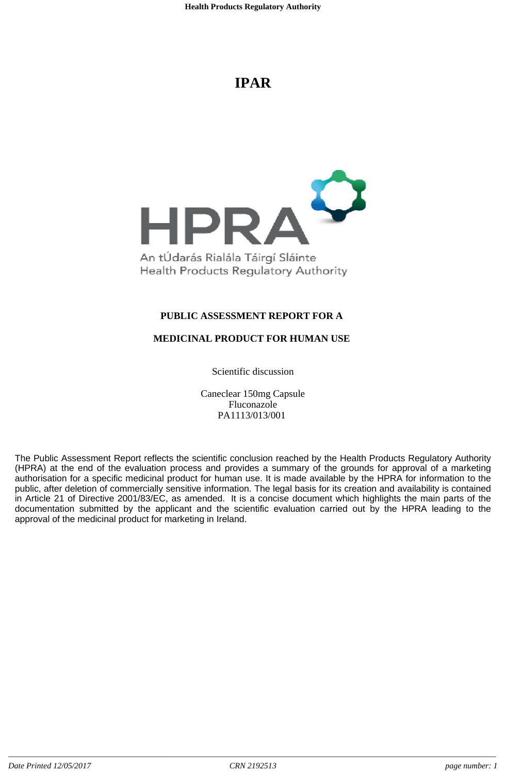# **IPAR**



# **PUBLIC ASSESSMENT REPORT FOR A**

# **MEDICINAL PRODUCT FOR HUMAN USE**

Scientific discussion

Caneclear 150mg Capsule Fluconazole PA1113/013/001

The Public Assessment Report reflects the scientific conclusion reached by the Health Products Regulatory Authority (HPRA) at the end of the evaluation process and provides a summary of the grounds for approval of a marketing authorisation for a specific medicinal product for human use. It is made available by the HPRA for information to the public, after deletion of commercially sensitive information. The legal basis for its creation and availability is contained in Article 21 of Directive 2001/83/EC, as amended. It is a concise document which highlights the main parts of the documentation submitted by the applicant and the scientific evaluation carried out by the HPRA leading to the approval of the medicinal product for marketing in Ireland.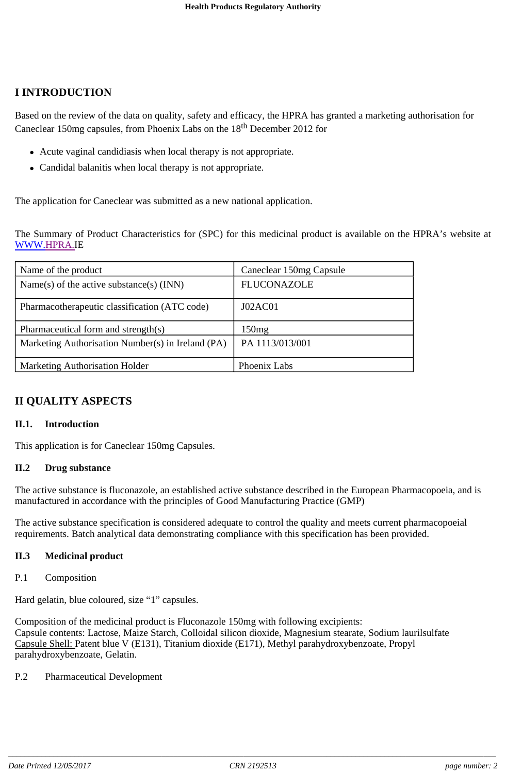# **I INTRODUCTION**

Based on the review of the data on quality, safety and efficacy, the HPRA has granted a marketing authorisation for Caneclear 150mg capsules, from Phoenix Labs on the 18<sup>th</sup> December 2012 for

- Acute vaginal candidiasis when local therapy is not appropriate.
- Candidal balanitis when local therapy is not appropriate.

The application for Caneclear was submitted as a new national application.

The Summary of Product Characteristics for (SPC) for this medicinal product is available on the HPRA's website at WWW.HPRA.IE

| Name of the product                               | Caneclear 150mg Capsule |
|---------------------------------------------------|-------------------------|
| Name(s) of the active substance(s) $(INN)$        | <b>FLUCONAZOLE</b>      |
| Pharmacotherapeutic classification (ATC code)     | J02AC01                 |
| Pharmaceutical form and strength(s)               | 150mg                   |
| Marketing Authorisation Number(s) in Ireland (PA) | PA 1113/013/001         |
| <b>Marketing Authorisation Holder</b>             | Phoenix Labs            |

# **II QUALITY ASPECTS**

#### **II.1. Introduction**

This application is for Caneclear 150mg Capsules.

#### **II.2 Drug substance**

The active substance is fluconazole, an established active substance described in the European Pharmacopoeia, and is manufactured in accordance with the principles of Good Manufacturing Practice (GMP)

The active substance specification is considered adequate to control the quality and meets current pharmacopoeial requirements. Batch analytical data demonstrating compliance with this specification has been provided.

#### **II.3 Medicinal product**

#### P.1 Composition

Hard gelatin, blue coloured, size "1" capsules.

Composition of the medicinal product is Fluconazole 150mg with following excipients: Capsule contents: Lactose, Maize Starch, Colloidal silicon dioxide, Magnesium stearate, Sodium laurilsulfate Capsule Shell: Patent blue V (E131), Titanium dioxide (E171), Methyl parahydroxybenzoate, Propyl parahydroxybenzoate, Gelatin.

#### P.2 Pharmaceutical Development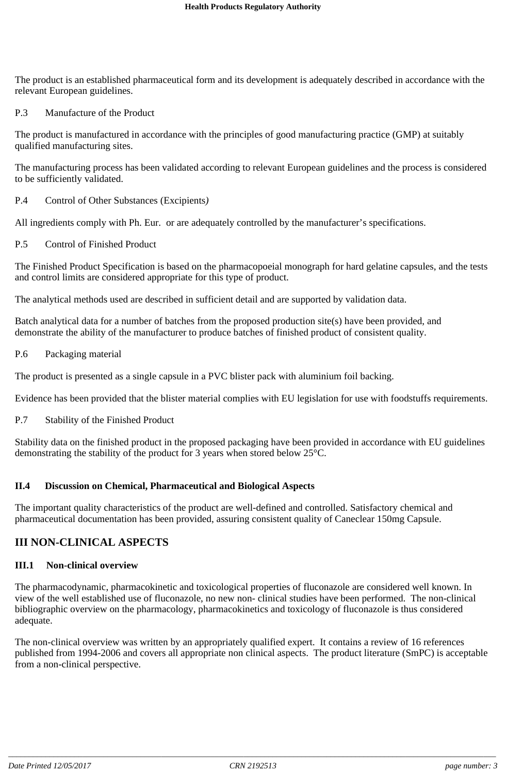The product is an established pharmaceutical form and its development is adequately described in accordance with the relevant European guidelines.

#### P.3 Manufacture of the Product

The product is manufactured in accordance with the principles of good manufacturing practice (GMP) at suitably qualified manufacturing sites.

The manufacturing process has been validated according to relevant European guidelines and the process is considered to be sufficiently validated.

P.4 Control of Other Substances (Excipients*)*

All ingredients comply with Ph. Eur. or are adequately controlled by the manufacturer's specifications.

P.5 Control of Finished Product

The Finished Product Specification is based on the pharmacopoeial monograph for hard gelatine capsules, and the tests and control limits are considered appropriate for this type of product.

The analytical methods used are described in sufficient detail and are supported by validation data.

Batch analytical data for a number of batches from the proposed production site(s) have been provided, and demonstrate the ability of the manufacturer to produce batches of finished product of consistent quality.

P.6 Packaging material

The product is presented as a single capsule in a PVC blister pack with aluminium foil backing.

Evidence has been provided that the blister material complies with EU legislation for use with foodstuffs requirements.

P.7 Stability of the Finished Product

Stability data on the finished product in the proposed packaging have been provided in accordance with EU guidelines demonstrating the stability of the product for 3 years when stored below 25°C.

#### **II.4 Discussion on Chemical, Pharmaceutical and Biological Aspects**

The important quality characteristics of the product are well-defined and controlled. Satisfactory chemical and pharmaceutical documentation has been provided, assuring consistent quality of Caneclear 150mg Capsule.

# **III NON-CLINICAL ASPECTS**

#### **III.1 Non-clinical overview**

The pharmacodynamic, pharmacokinetic and toxicological properties of fluconazole are considered well known. In view of the well established use of fluconazole, no new non- clinical studies have been performed. The non-clinical bibliographic overview on the pharmacology, pharmacokinetics and toxicology of fluconazole is thus considered adequate.

The non-clinical overview was written by an appropriately qualified expert. It contains a review of 16 references published from 1994-2006 and covers all appropriate non clinical aspects. The product literature (SmPC) is acceptable from a non-clinical perspective.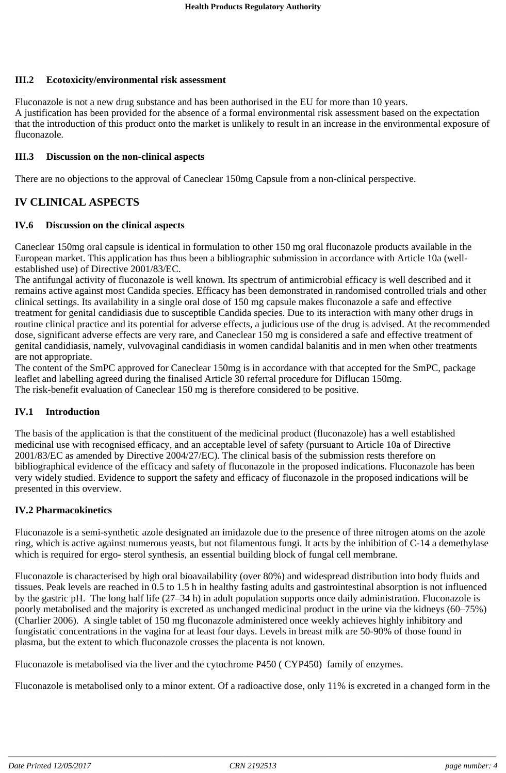# **III.2 Ecotoxicity/environmental risk assessment**

Fluconazole is not a new drug substance and has been authorised in the EU for more than 10 years. A justification has been provided for the absence of a formal environmental risk assessment based on the expectation that the introduction of this product onto the market is unlikely to result in an increase in the environmental exposure of fluconazole.

### **III.3 Discussion on the non-clinical aspects**

There are no objections to the approval of Caneclear 150mg Capsule from a non-clinical perspective.

# **IV CLINICAL ASPECTS**

### **IV.6 Discussion on the clinical aspects**

Caneclear 150mg oral capsule is identical in formulation to other 150 mg oral fluconazole products available in the European market. This application has thus been a bibliographic submission in accordance with Article 10a (wellestablished use) of Directive 2001/83/EC.

The antifungal activity of fluconazole is well known. Its spectrum of antimicrobial efficacy is well described and it remains active against most Candida species. Efficacy has been demonstrated in randomised controlled trials and other clinical settings. Its availability in a single oral dose of 150 mg capsule makes fluconazole a safe and effective treatment for genital candidiasis due to susceptible Candida species. Due to its interaction with many other drugs in routine clinical practice and its potential for adverse effects, a judicious use of the drug is advised. At the recommended dose, significant adverse effects are very rare, and Caneclear 150 mg is considered a safe and effective treatment of genital candidiasis, namely, vulvovaginal candidiasis in women candidal balanitis and in men when other treatments are not appropriate.

The content of the SmPC approved for Caneclear 150mg is in accordance with that accepted for the SmPC, package leaflet and labelling agreed during the finalised Article 30 referral procedure for Diflucan 150mg. The risk-benefit evaluation of Caneclear 150 mg is therefore considered to be positive.

# **IV.1 Introduction**

The basis of the application is that the constituent of the medicinal product (fluconazole) has a well established medicinal use with recognised efficacy, and an acceptable level of safety (pursuant to Article 10a of Directive 2001/83/EC as amended by Directive 2004/27/EC). The clinical basis of the submission rests therefore on bibliographical evidence of the efficacy and safety of fluconazole in the proposed indications. Fluconazole has been very widely studied. Evidence to support the safety and efficacy of fluconazole in the proposed indications will be presented in this overview.

#### **IV.2 Pharmacokinetics**

Fluconazole is a semi-synthetic azole designated an imidazole due to the presence of three nitrogen atoms on the azole ring, which is active against numerous yeasts, but not filamentous fungi. It acts by the inhibition of C-14 a demethylase which is required for ergo- sterol synthesis, an essential building block of fungal cell membrane.

Fluconazole is characterised by high oral bioavailability (over 80%) and widespread distribution into body fluids and tissues. Peak levels are reached in 0.5 to 1.5 h in healthy fasting adults and gastrointestinal absorption is not influenced by the gastric pH. The long half life (27–34 h) in adult population supports once daily administration. Fluconazole is poorly metabolised and the majority is excreted as unchanged medicinal product in the urine via the kidneys (60–75%) (Charlier 2006). A single tablet of 150 mg fluconazole administered once weekly achieves highly inhibitory and fungistatic concentrations in the vagina for at least four days. Levels in breast milk are 50-90% of those found in plasma, but the extent to which fluconazole crosses the placenta is not known.

Fluconazole is metabolised via the liver and the cytochrome P450 ( CYP450) family of enzymes.

Fluconazole is metabolised only to a minor extent. Of a radioactive dose, only 11% is excreted in a changed form in the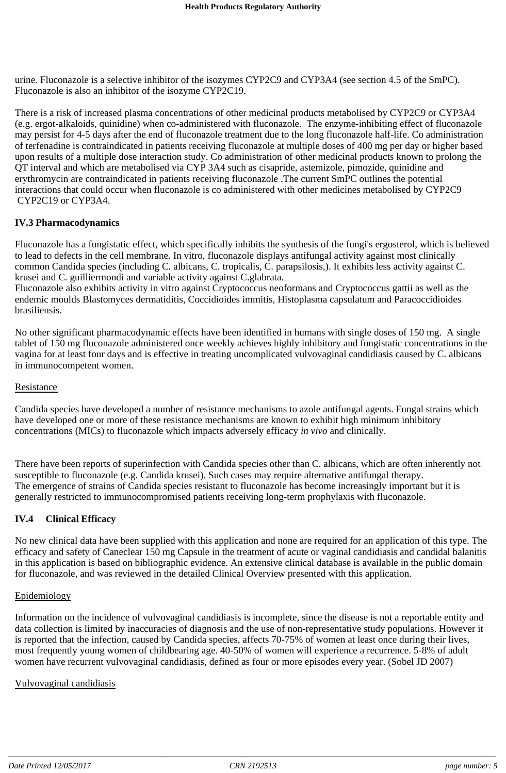urine. Fluconazole is a selective inhibitor of the isozymes CYP2C9 and CYP3A4 (see section 4.5 of the SmPC). Fluconazole is also an inhibitor of the isozyme CYP2C19.

There is a risk of increased plasma concentrations of other medicinal products metabolised by CYP2C9 or CYP3A4 (e.g. ergot-alkaloids, quinidine) when co-administered with fluconazole. The enzyme-inhibiting effect of fluconazole may persist for 4-5 days after the end of fluconazole treatment due to the long fluconazole half-life. Co administration of terfenadine is contraindicated in patients receiving fluconazole at multiple doses of 400 mg per day or higher based upon results of a multiple dose interaction study. Co administration of other medicinal products known to prolong the QT interval and which are metabolised via CYP 3A4 such as cisapride, astemizole, pimozide, quinidine and erythromycin are contraindicated in patients receiving fluconazole .The current SmPC outlines the potential interactions that could occur when fluconazole is co administered with other medicines metabolised by CYP2C9 CYP2C19 or CYP3A4.

#### **IV.3 Pharmacodynamics**

Fluconazole has a fungistatic effect, which specifically inhibits the synthesis of the fungi's ergosterol, which is believed to lead to defects in the cell membrane. In vitro, fluconazole displays antifungal activity against most clinically common Candida species (including C. albicans, C. tropicalis, C. parapsilosis,). It exhibits less activity against C. krusei and C. guilliermondi and variable activity against C.glabrata.

Fluconazole also exhibits activity in vitro against Cryptococcus neoformans and Cryptococcus gattii as well as the endemic moulds Blastomyces dermatiditis, Coccidioides immitis, Histoplasma capsulatum and Paracoccidioides brasiliensis.

No other significant pharmacodynamic effects have been identified in humans with single doses of 150 mg. A single tablet of 150 mg fluconazole administered once weekly achieves highly inhibitory and fungistatic concentrations in the vagina for at least four days and is effective in treating uncomplicated vulvovaginal candidiasis caused by C. albicans in immunocompetent women.

#### Resistance

Candida species have developed a number of resistance mechanisms to azole antifungal agents. Fungal strains which have developed one or more of these resistance mechanisms are known to exhibit high minimum inhibitory concentrations (MICs) to fluconazole which impacts adversely efficacy *in vivo* and clinically.

There have been reports of superinfection with Candida species other than C. albicans, which are often inherently not susceptible to fluconazole (e.g. Candida krusei). Such cases may require alternative antifungal therapy. The emergence of strains of Candida species resistant to fluconazole has become increasingly important but it is generally restricted to immunocompromised patients receiving long-term prophylaxis with fluconazole.

#### **IV.4 Clinical Efficacy**

No new clinical data have been supplied with this application and none are required for an application of this type. The efficacy and safety of Caneclear 150 mg Capsule in the treatment of acute or vaginal candidiasis and candidal balanitis in this application is based on bibliographic evidence. An extensive clinical database is available in the public domain for fluconazole, and was reviewed in the detailed Clinical Overview presented with this application.

#### Epidemiology

Information on the incidence of vulvovaginal candidiasis is incomplete, since the disease is not a reportable entity and data collection is limited by inaccuracies of diagnosis and the use of non-representative study populations. However it is reported that the infection, caused by Candida species, affects 70-75% of women at least once during their lives, most frequently young women of childbearing age. 40-50% of women will experience a recurrence. 5-8% of adult women have recurrent vulvovaginal candidiasis, defined as four or more episodes every year. (Sobel JD 2007)

#### Vulvovaginal candidiasis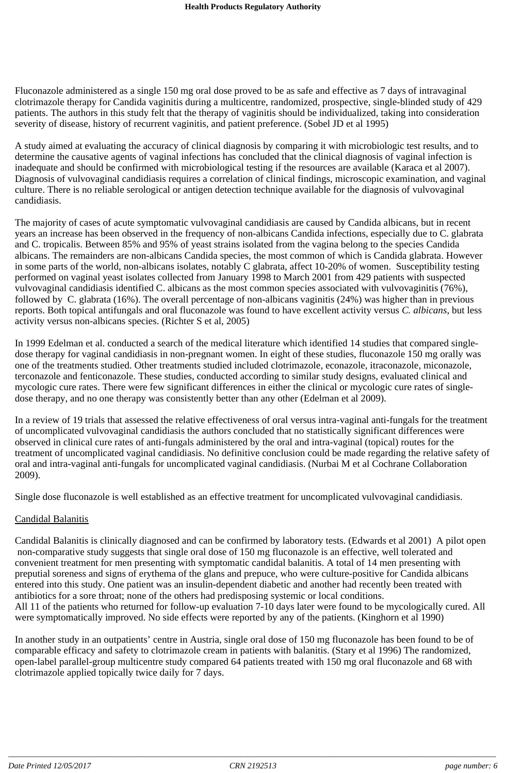Fluconazole administered as a single 150 mg oral dose proved to be as safe and effective as 7 days of intravaginal clotrimazole therapy for Candida vaginitis during a multicentre, randomized, prospective, single-blinded study of 429 patients. The authors in this study felt that the therapy of vaginitis should be individualized, taking into consideration severity of disease, history of recurrent vaginitis, and patient preference. (Sobel JD et al 1995)

A study aimed at evaluating the accuracy of clinical diagnosis by comparing it with microbiologic test results, and to determine the causative agents of vaginal infections has concluded that the clinical diagnosis of vaginal infection is inadequate and should be confirmed with microbiological testing if the resources are available (Karaca et al 2007). Diagnosis of vulvovaginal candidiasis requires a correlation of clinical findings, microscopic examination, and vaginal culture. There is no reliable serological or antigen detection technique available for the diagnosis of vulvovaginal candidiasis.

The majority of cases of acute symptomatic vulvovaginal candidiasis are caused by Candida albicans, but in recent years an increase has been observed in the frequency of non-albicans Candida infections, especially due to C. glabrata and C. tropicalis. Between 85% and 95% of yeast strains isolated from the vagina belong to the species Candida albicans. The remainders are non-albicans Candida species, the most common of which is Candida glabrata. However in some parts of the world, non-albicans isolates, notably C glabrata, affect 10-20% of women. Susceptibility testing performed on vaginal yeast isolates collected from January 1998 to March 2001 from 429 patients with suspected vulvovaginal candidiasis identified C. albicans as the most common species associated with vulvovaginitis (76%), followed by C. glabrata (16%). The overall percentage of non-albicans vaginitis (24%) was higher than in previous reports. Both topical antifungals and oral fluconazole was found to have excellent activity versus *C. albicans*, but less activity versus non-albicans species. (Richter S et al, 2005)

In 1999 Edelman et al. conducted a search of the medical literature which identified 14 studies that compared singledose therapy for vaginal candidiasis in non-pregnant women. In eight of these studies, fluconazole 150 mg orally was one of the treatments studied. Other treatments studied included clotrimazole, econazole, itraconazole, miconazole, terconazole and fenticonazole. These studies, conducted according to similar study designs, evaluated clinical and mycologic cure rates. There were few significant differences in either the clinical or mycologic cure rates of singledose therapy, and no one therapy was consistently better than any other (Edelman et al 2009).

In a review of 19 trials that assessed the relative effectiveness of oral versus intra-vaginal anti-fungals for the treatment of uncomplicated vulvovaginal candidiasis the authors concluded that no statistically significant differences were observed in clinical cure rates of anti-fungals administered by the oral and intra-vaginal (topical) routes for the treatment of uncomplicated vaginal candidiasis. No definitive conclusion could be made regarding the relative safety of oral and intra-vaginal anti-fungals for uncomplicated vaginal candidiasis. (Nurbai M et al Cochrane Collaboration 2009).

Single dose fluconazole is well established as an effective treatment for uncomplicated vulvovaginal candidiasis.

#### Candidal Balanitis

Candidal Balanitis is clinically diagnosed and can be confirmed by laboratory tests. (Edwards et al 2001) A pilot open non-comparative study suggests that single oral dose of 150 mg fluconazole is an effective, well tolerated and convenient treatment for men presenting with symptomatic candidal balanitis. A total of 14 men presenting with preputial soreness and signs of erythema of the glans and prepuce, who were culture-positive for Candida albicans entered into this study. One patient was an insulin-dependent diabetic and another had recently been treated with antibiotics for a sore throat; none of the others had predisposing systemic or local conditions. All 11 of the patients who returned for follow-up evaluation 7-10 days later were found to be mycologically cured. All were symptomatically improved. No side effects were reported by any of the patients. (Kinghorn et al 1990)

In another study in an outpatients' centre in Austria, single oral dose of 150 mg fluconazole has been found to be of comparable efficacy and safety to clotrimazole cream in patients with balanitis. (Stary et al 1996) The randomized, open-label parallel-group multicentre study compared 64 patients treated with 150 mg oral fluconazole and 68 with clotrimazole applied topically twice daily for 7 days.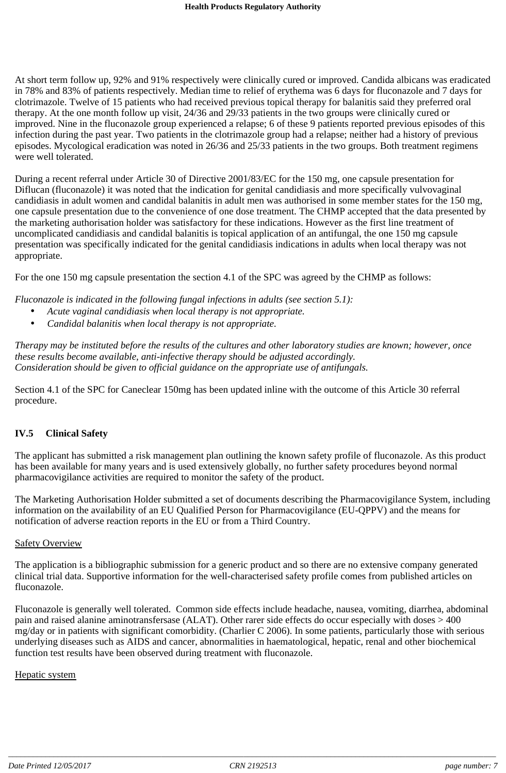At short term follow up, 92% and 91% respectively were clinically cured or improved. Candida albicans was eradicated in 78% and 83% of patients respectively. Median time to relief of erythema was 6 days for fluconazole and 7 days for clotrimazole. Twelve of 15 patients who had received previous topical therapy for balanitis said they preferred oral therapy. At the one month follow up visit, 24/36 and 29/33 patients in the two groups were clinically cured or improved. Nine in the fluconazole group experienced a relapse; 6 of these 9 patients reported previous episodes of this infection during the past year. Two patients in the clotrimazole group had a relapse; neither had a history of previous episodes. Mycological eradication was noted in 26/36 and 25/33 patients in the two groups. Both treatment regimens were well tolerated.

During a recent referral under Article 30 of Directive 2001/83/EC for the 150 mg, one capsule presentation for Diflucan (fluconazole) it was noted that the indication for genital candidiasis and more specifically vulvovaginal candidiasis in adult women and candidal balanitis in adult men was authorised in some member states for the 150 mg, one capsule presentation due to the convenience of one dose treatment. The CHMP accepted that the data presented by the marketing authorisation holder was satisfactory for these indications. However as the first line treatment of uncomplicated candidiasis and candidal balanitis is topical application of an antifungal, the one 150 mg capsule presentation was specifically indicated for the genital candidiasis indications in adults when local therapy was not appropriate.

For the one 150 mg capsule presentation the section 4.1 of the SPC was agreed by the CHMP as follows:

*Fluconazole is indicated in the following fungal infections in adults (see section 5.1):*

- *Acute vaginal candidiasis when local therapy is not appropriate.*
- *Candidal balanitis when local therapy is not appropriate.*

Therapy may be instituted before the results of the cultures and other laboratory studies are known; however, once *these results become available, anti-infective therapy should be adjusted accordingly. Consideration should be given to official guidance on the appropriate use of antifungals.*

Section 4.1 of the SPC for Caneclear 150mg has been updated inline with the outcome of this Article 30 referral procedure.

# **IV.5 Clinical Safety**

The applicant has submitted a risk management plan outlining the known safety profile of fluconazole. As this product has been available for many years and is used extensively globally, no further safety procedures beyond normal pharmacovigilance activities are required to monitor the safety of the product.

The Marketing Authorisation Holder submitted a set of documents describing the Pharmacovigilance System, including information on the availability of an EU Qualified Person for Pharmacovigilance (EU-QPPV) and the means for notification of adverse reaction reports in the EU or from a Third Country.

#### Safety Overview

The application is a bibliographic submission for a generic product and so there are no extensive company generated clinical trial data. Supportive information for the well-characterised safety profile comes from published articles on fluconazole.

Fluconazole is generally well tolerated. Common side effects include headache, nausea, vomiting, diarrhea, abdominal pain and raised alanine aminotransfersase (ALAT). Other rarer side effects do occur especially with doses > 400 mg/day or in patients with significant comorbidity. (Charlier C 2006). In some patients, particularly those with serious underlying diseases such as AIDS and cancer, abnormalities in haematological, hepatic, renal and other biochemical function test results have been observed during treatment with fluconazole.

#### Hepatic system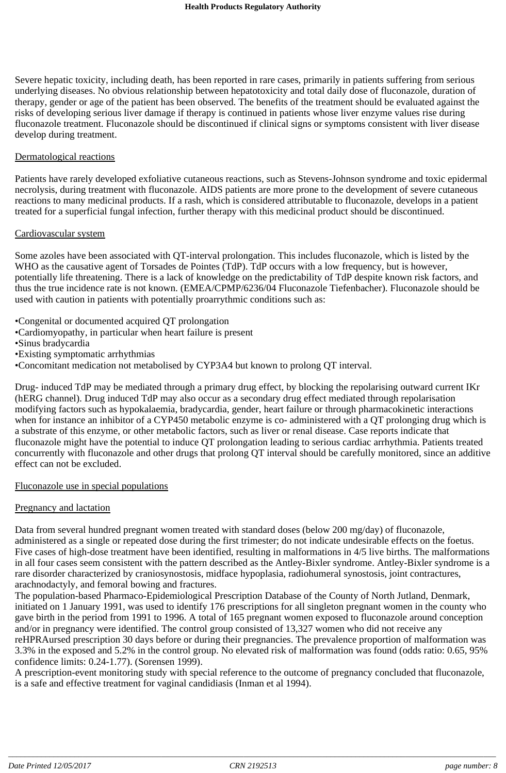Severe hepatic toxicity, including death, has been reported in rare cases, primarily in patients suffering from serious underlying diseases. No obvious relationship between hepatotoxicity and total daily dose of fluconazole, duration of therapy, gender or age of the patient has been observed. The benefits of the treatment should be evaluated against the risks of developing serious liver damage if therapy is continued in patients whose liver enzyme values rise during fluconazole treatment. Fluconazole should be discontinued if clinical signs or symptoms consistent with liver disease develop during treatment.

#### Dermatological reactions

Patients have rarely developed exfoliative cutaneous reactions, such as Stevens-Johnson syndrome and toxic epidermal necrolysis, during treatment with fluconazole. AIDS patients are more prone to the development of severe cutaneous reactions to many medicinal products. If a rash, which is considered attributable to fluconazole, develops in a patient treated for a superficial fungal infection, further therapy with this medicinal product should be discontinued.

#### Cardiovascular system

Some azoles have been associated with QT-interval prolongation. This includes fluconazole, which is listed by the WHO as the causative agent of Torsades de Pointes (TdP). TdP occurs with a low frequency, but is however, potentially life threatening. There is a lack of knowledge on the predictability of TdP despite known risk factors, and thus the true incidence rate is not known. (EMEA/CPMP/6236/04 Fluconazole Tiefenbacher). Fluconazole should be used with caution in patients with potentially proarrythmic conditions such as:

•Congenital or documented acquired QT prolongation

•Cardiomyopathy, in particular when heart failure is present

•Sinus bradycardia

•Existing symptomatic arrhythmias

•Concomitant medication not metabolised by CYP3A4 but known to prolong QT interval.

Drug- induced TdP may be mediated through a primary drug effect, by blocking the repolarising outward current IKr (hERG channel). Drug induced TdP may also occur as a secondary drug effect mediated through repolarisation modifying factors such as hypokalaemia, bradycardia, gender, heart failure or through pharmacokinetic interactions when for instance an inhibitor of a CYP450 metabolic enzyme is co- administered with a QT prolonging drug which is a substrate of this enzyme, or other metabolic factors, such as liver or renal disease. Case reports indicate that fluconazole might have the potential to induce QT prolongation leading to serious cardiac arrhythmia. Patients treated concurrently with fluconazole and other drugs that prolong QT interval should be carefully monitored, since an additive effect can not be excluded.

Fluconazole use in special populations

#### Pregnancy and lactation

Data from several hundred pregnant women treated with standard doses (below 200 mg/day) of fluconazole, administered as a single or repeated dose during the first trimester; do not indicate undesirable effects on the foetus. Five cases of high-dose treatment have been identified, resulting in malformations in 4/5 live births. The malformations in all four cases seem consistent with the pattern described as the Antley-Bixler syndrome. Antley-Bixler syndrome is a rare disorder characterized by craniosynostosis, midface hypoplasia, radiohumeral synostosis, joint contractures, arachnodactyly, and femoral bowing and fractures.

The population-based Pharmaco-Epidemiological Prescription Database of the County of North Jutland, Denmark, initiated on 1 January 1991, was used to identify 176 prescriptions for all singleton pregnant women in the county who gave birth in the period from 1991 to 1996. A total of 165 pregnant women exposed to fluconazole around conception and/or in pregnancy were identified. The control group consisted of 13,327 women who did not receive any reHPRAursed prescription 30 days before or during their pregnancies. The prevalence proportion of malformation was 3.3% in the exposed and 5.2% in the control group. No elevated risk of malformation was found (odds ratio: 0.65, 95% confidence limits: 0.24-1.77). (Sorensen 1999).

A prescription-event monitoring study with special reference to the outcome of pregnancy concluded that fluconazole, is a safe and effective treatment for vaginal candidiasis (Inman et al 1994).